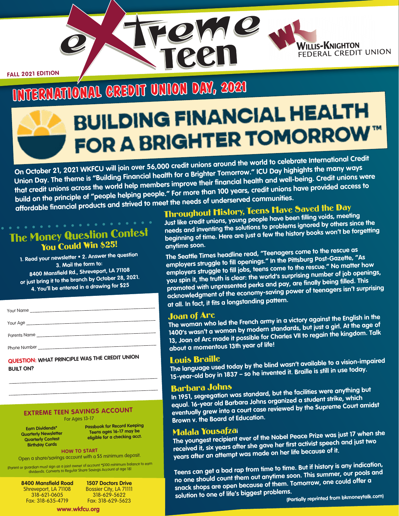**FALL 2021 EDITION**

# **BRNATIONAL CREDIT UNION DAY, 2021<br>BUILDING FINANCIAL HEALTH** FOR A BRIGHTER TOMORROW™

LOWO

**P.N.** 

**On October 21, 2021 WKFCU will join over 56,000 credit unions around the world to celebrate International Credit Union Day. The theme is "Building Financial health for a Brighter Tomorrow." ICU Day highights the many ways that credit unions across the world help members improve their financial health and well-being. Credit unions were build on the principle of "people helping people." For more than 100 years, credit unions have provided access to affordable financial products and strived to meet the needs of underserved communities.**

# The Money Question Contest<br>You Could Win \$25!

**1. Read your newsletter • 2. Answer the question 3. Mail the form to: 8400 Mansfield Rd., Shreveport, LA 71108 or just bring it to the branch by October 28, 2021. 4. You'll be entered in a drawing for \$25**

| Your Name    |
|--------------|
|              |
| Parents Name |
| Phone Number |

**QUESTION: WHAT PRINCIPLE WAS THE CREDIT UNION BUILT ON?**

## **EXTREME TEEN SAVINGS ACCOUNT** For Ages 13-17

**Earn Dividends\* Quarterly Newsletter Quarterly Contest Birthday Cards**

**Teens ages 16-17 may be eligible for a checking acct.**

**HOW TO START** Open a share/savings account with a \$5 minimum deposit.

(Parent or guardian must sign as a joint owner of account \*\$100 minimum balance to earn dividends. Converts to Regular Share Savings Account at age 18)

**8400 Mansfield Road** Shreveport, LA 71108 318-621-0605 Fax: 318-635-4719

**1507 Doctors Drive** Bossier City, LA 71111 318-629-5622 Fax: 318-629-5623

**Passbook for Record Keeping**

# Throughout History, Teens Have Saved the Day

**Just like credit unions, young people have been filling voids, meeting needs and inventing the solutions to problems ignored by others since the beginning of time. Here are just a few the history books won't be forgetting anytime soon.**

**WILLIS-KNIGHTON** 

FEDERAL CREDIT UNION

**The Seattle Times headline read, "Teenagers come to the rescue as employers struggle to fill openings." In the Pittsburg Post-Gazette, "As employers struggle to fill jobs, teens come to the rescue." No matter how you spin it, the truth is clear: the world's surprising number of job openings, promoted with unpresented perks and pay, are finally being filled. This acknowledgment of the economy-saving power of teenagers isn't surprising at all. In fact, it fits a longstanding pattern.**

Joan of Arc **The woman who led the French army in a victory against the English in the 1400's wasn't a woman by modern standards, but just a girl. At the age of 13, Joan of Arc made it possible for Charles VII to regain the kingdom. Talk about a momentous 13th year of life!**

Louis Braille **The language used today by the blind wasn't available to a vision-impaired 15-year-old boy in 1837 – so he invented it. Braille is still in use today.**

## Barbara Johns

**In 1951, segregation was standard, but the facilities were anything but equal. 16-year old Barbara Johns organized a student strike, which eventually grew into a court case reviewed by the Supreme Court amidst Brown v. the Board of Education.**

# Malala Yousafza**<sup>i</sup>**

**The youngest recipient ever of the Nobel Peace Prize was just 17 when she received it, six years after she gave her first activist speech and just two years after an attempt was made on her life because of it.**

**Teens can get a bad rap from time to time. But if history is any indication, no one should count them out anytime soon. This summer, our pools and snack shops are open because of them. Tomorrow, one could offer a solution to one of life's biggest problems.**

 **(Partially reprinted from bkmoneytalk.com)** 

**www.wkfcu.org**